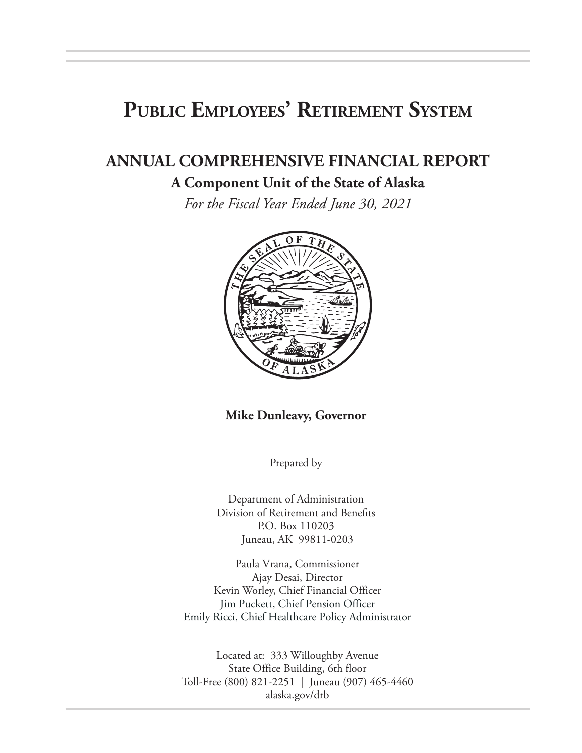# **Public Employees' Retirement System**

# **ANNUAL COMPREHENSIVE FINANCIAL REPORT**

#### **A Component Unit of the State of Alaska**

*For the Fiscal Year Ended June 30, 2021*



#### **Mike Dunleavy, Governor**

Prepared by

Department of Administration Division of Retirement and Benefits P.O. Box 110203 Juneau, AK 99811-0203

Paula Vrana, Commissioner Ajay Desai, Director Kevin Worley, Chief Financial Officer Jim Puckett, Chief Pension Officer Emily Ricci, Chief Healthcare Policy Administrator

Located at: 333 Willoughby Avenue State Office Building, 6th floor Toll-Free (800) 821-2251 | Juneau (907) 465-4460 alaska.gov/drb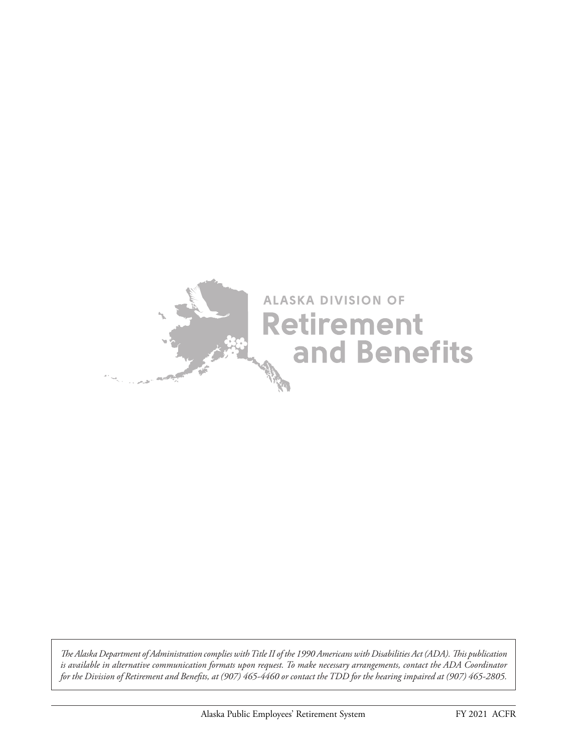

*The Alaska Department of Administration complies with Title II of the 1990 Americans with Disabilities Act (ADA). This publication is available in alternative communication formats upon request. To make necessary arrangements, contact the ADA Coordinator for the Division of Retirement and Benefits, at (907) 465-4460 or contact the TDD for the hearing impaired at (907) 465-2805.*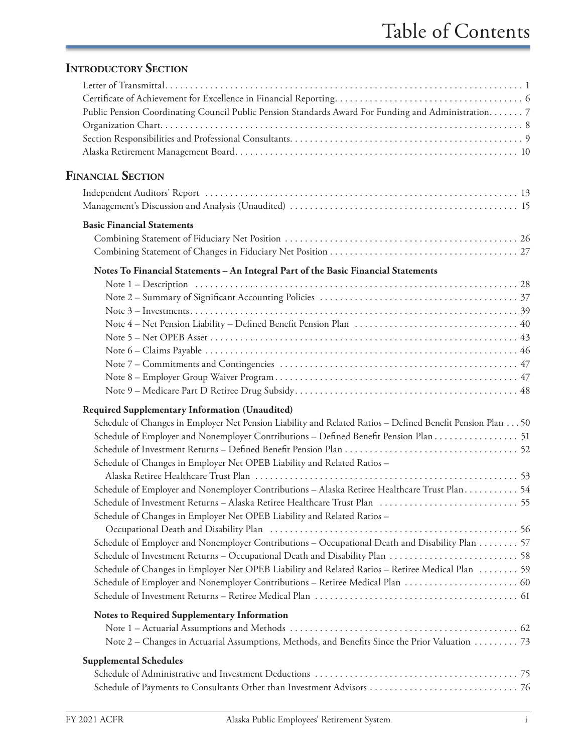### **INTRODUCTORY SECTION**

| Public Pension Coordinating Council Public Pension Standards Award For Funding and Administration. 7           |  |
|----------------------------------------------------------------------------------------------------------------|--|
|                                                                                                                |  |
|                                                                                                                |  |
|                                                                                                                |  |
| <b>FINANCIAL SECTION</b>                                                                                       |  |
| Independent Auditors' Report (and according to the control of the control of the control of the control of the |  |
|                                                                                                                |  |
| <b>Basic Financial Statements</b>                                                                              |  |
|                                                                                                                |  |
|                                                                                                                |  |
| Notes To Financial Statements - An Integral Part of the Basic Financial Statements                             |  |
|                                                                                                                |  |
|                                                                                                                |  |
|                                                                                                                |  |
|                                                                                                                |  |
|                                                                                                                |  |
|                                                                                                                |  |
|                                                                                                                |  |
|                                                                                                                |  |
|                                                                                                                |  |
| <b>Required Supplementary Information (Unaudited)</b>                                                          |  |
| Schedule of Changes in Employer Net Pension Liability and Related Ratios - Defined Benefit Pension Plan 50     |  |
| Schedule of Employer and Nonemployer Contributions - Defined Benefit Pension Plan 51                           |  |
|                                                                                                                |  |
| Schedule of Changes in Employer Net OPEB Liability and Related Ratios -                                        |  |
|                                                                                                                |  |
| Schedule of Employer and Nonemployer Contributions - Alaska Retiree Healthcare Trust Plan 54                   |  |
|                                                                                                                |  |
| Schedule of Changes in Employer Net OPEB Liability and Related Ratios -                                        |  |
|                                                                                                                |  |
| Schedule of Employer and Nonemployer Contributions - Occupational Death and Disability Plan 57                 |  |
|                                                                                                                |  |
| Schedule of Changes in Employer Net OPEB Liability and Related Ratios - Retiree Medical Plan  59               |  |
|                                                                                                                |  |
|                                                                                                                |  |
| Notes to Required Supplementary Information                                                                    |  |
|                                                                                                                |  |
| Note 2 – Changes in Actuarial Assumptions, Methods, and Benefits Since the Prior Valuation 73                  |  |
| <b>Supplemental Schedules</b>                                                                                  |  |
|                                                                                                                |  |
|                                                                                                                |  |